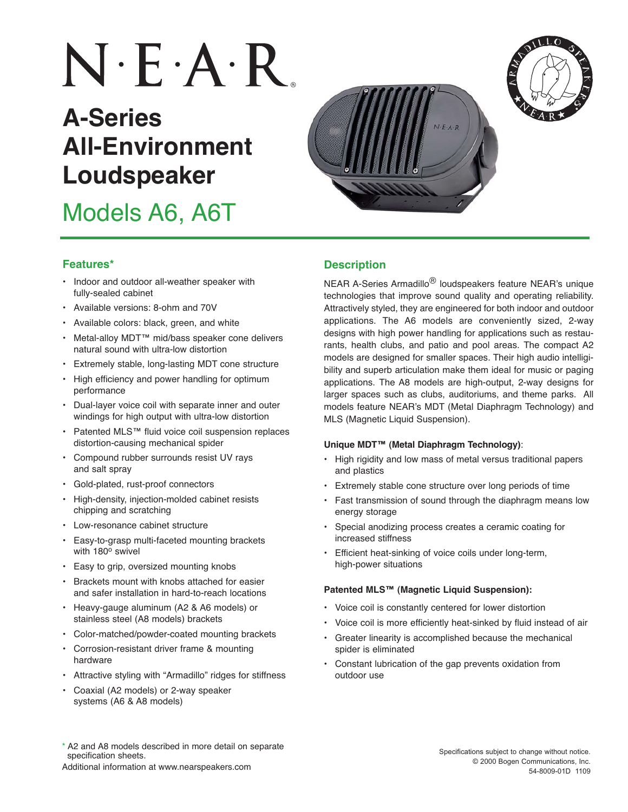# $N \cdot E \cdot A \cdot R$

## **A-Series All-Environment Loudspeaker**

Models A6, A6T



NEAR A-Series Armadillo® loudspeakers feature NEAR's unique technologies that improve sound quality and operating reliability. Attractively styled, they are engineered for both indoor and outdoor applications. The A6 models are conveniently sized, 2-way designs with high power handling for applications such as restaurants, health clubs, and patio and pool areas. The compact A2 models are designed for smaller spaces. Their high audio intelligibility and superb articulation make them ideal for music or paging applications. The A8 models are high-output, 2-way designs for larger spaces such as clubs, auditoriums, and theme parks. All models feature NEAR's MDT (Metal Diaphragm Technology) and MLS (Magnetic Liquid Suspension).

#### **Unique MDT™ (Metal Diaphragm Technology)**:

- High rigidity and low mass of metal versus traditional papers and plastics
- Extremely stable cone structure over long periods of time
- Fast transmission of sound through the diaphragm means low energy storage
- Special anodizing process creates a ceramic coating for increased stiffness
- Efficient heat-sinking of voice coils under long-term, high-power situations

#### **Patented MLS™ (Magnetic Liquid Suspension):**

- Voice coil is constantly centered for lower distortion
- Voice coil is more efficiently heat-sinked by fluid instead of air
- Greater linearity is accomplished because the mechanical spider is eliminated
- Constant lubrication of the gap prevents oxidation from outdoor use

#### **Features\* Description**

- Indoor and outdoor all-weather speaker with fully-sealed cabinet
- Available versions: 8-ohm and 70V
- Available colors: black, green, and white
- Metal-alloy MDT™ mid/bass speaker cone delivers natural sound with ultra-low distortion
- Extremely stable, long-lasting MDT cone structure
- High efficiency and power handling for optimum performance
- Dual-layer voice coil with separate inner and outer windings for high output with ultra-low distortion
- Patented MLS™ fluid voice coil suspension replaces distortion-causing mechanical spider
- Compound rubber surrounds resist UV rays and salt spray
- Gold-plated, rust-proof connectors
- High-density, injection-molded cabinet resists chipping and scratching
- Low-resonance cabinet structure
- Easy-to-grasp multi-faceted mounting brackets with 180° swivel
- Easy to grip, oversized mounting knobs
- Brackets mount with knobs attached for easier and safer installation in hard-to-reach locations
- Heavy-gauge aluminum (A2 & A6 models) or stainless steel (A8 models) brackets
- Color-matched/powder-coated mounting brackets
- Corrosion-resistant driver frame & mounting hardware
- Attractive styling with "Armadillo" ridges for stiffness
- Coaxial (A2 models) or 2-way speaker systems (A6 & A8 models)
- \* A2 and A8 models described in more detail on separate specification sheets.

Additional information at www.nearspeakers.com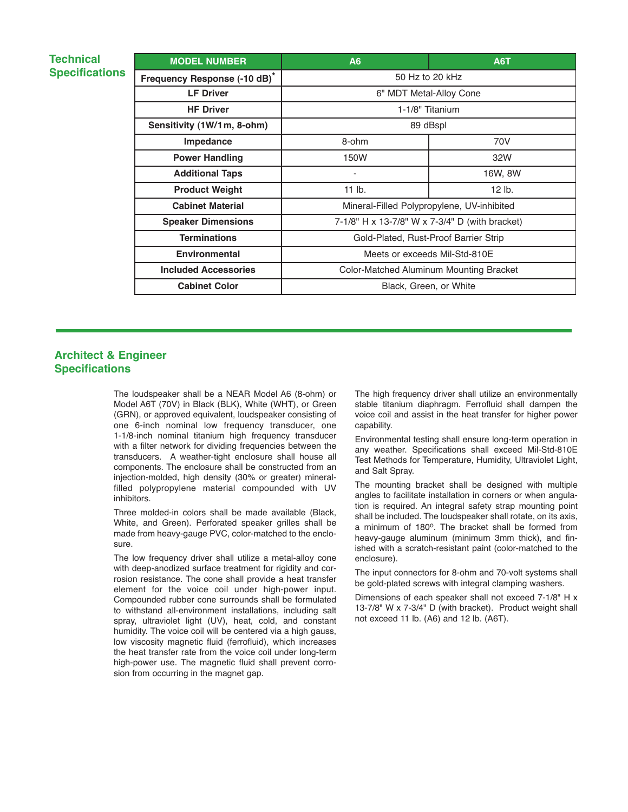#### **Technical Specifications**

| <b>MODEL NUMBER</b>          | A6                                             | <b>A6T</b> |  |
|------------------------------|------------------------------------------------|------------|--|
| Frequency Response (-10 dB)* | 50 Hz to 20 kHz                                |            |  |
| <b>LF Driver</b>             | 6" MDT Metal-Alloy Cone                        |            |  |
| <b>HF Driver</b>             | 1-1/8" Titanium                                |            |  |
| Sensitivity (1W/1m, 8-ohm)   | 89 dBspl                                       |            |  |
| Impedance                    | 8-ohm                                          | 70V        |  |
| <b>Power Handling</b>        | 150W                                           | 32W        |  |
| <b>Additional Taps</b>       |                                                | 16W, 8W    |  |
| <b>Product Weight</b>        | $11$ lb.                                       | $12$ lb.   |  |
| <b>Cabinet Material</b>      | Mineral-Filled Polypropylene, UV-inhibited     |            |  |
| <b>Speaker Dimensions</b>    | 7-1/8" H x 13-7/8" W x 7-3/4" D (with bracket) |            |  |
| <b>Terminations</b>          | Gold-Plated, Rust-Proof Barrier Strip          |            |  |
| <b>Environmental</b>         | Meets or exceeds Mil-Std-810E                  |            |  |
| <b>Included Accessories</b>  | Color-Matched Aluminum Mounting Bracket        |            |  |
| <b>Cabinet Color</b>         | Black, Green, or White                         |            |  |

#### **Architect & Engineer Specifications**

The loudspeaker shall be a NEAR Model A6 (8-ohm) or Model A6T (70V) in Black (BLK), White (WHT), or Green (GRN), or approved equivalent, loudspeaker consisting of one 6-inch nominal low frequency transducer, one 1-1/8-inch nominal titanium high frequency transducer with a filter network for dividing frequencies between the transducers. A weather-tight enclosure shall house all components. The enclosure shall be constructed from an injection-molded, high density (30% or greater) mineralfilled polypropylene material compounded with UV inhibitors.

Three molded-in colors shall be made available (Black, White, and Green). Perforated speaker grilles shall be made from heavy-gauge PVC, color-matched to the enclosure.

The low frequency driver shall utilize a metal-alloy cone with deep-anodized surface treatment for rigidity and corrosion resistance. The cone shall provide a heat transfer element for the voice coil under high-power input. Compounded rubber cone surrounds shall be formulated to withstand all-environment installations, including salt spray, ultraviolet light (UV), heat, cold, and constant humidity. The voice coil will be centered via a high gauss, low viscosity magnetic fluid (ferrofluid), which increases the heat transfer rate from the voice coil under long-term high-power use. The magnetic fluid shall prevent corrosion from occurring in the magnet gap.

The high frequency driver shall utilize an environmentally stable titanium diaphragm. Ferrofluid shall dampen the voice coil and assist in the heat transfer for higher power capability.

Environmental testing shall ensure long-term operation in any weather. Specifications shall exceed Mil-Std-810E Test Methods for Temperature, Humidity, Ultraviolet Light, and Salt Spray.

The mounting bracket shall be designed with multiple angles to facilitate installation in corners or when angulation is required. An integral safety strap mounting point shall be included. The loudspeaker shall rotate, on its axis, a minimum of 180<sup>o</sup>. The bracket shall be formed from heavy-gauge aluminum (minimum 3mm thick), and finished with a scratch-resistant paint (color-matched to the enclosure).

The input connectors for 8-ohm and 70-volt systems shall be gold-plated screws with integral clamping washers.

Dimensions of each speaker shall not exceed 7-1/8" H x 13-7/8" W x 7-3/4" D (with bracket). Product weight shall not exceed 11 lb. (A6) and 12 lb. (A6T).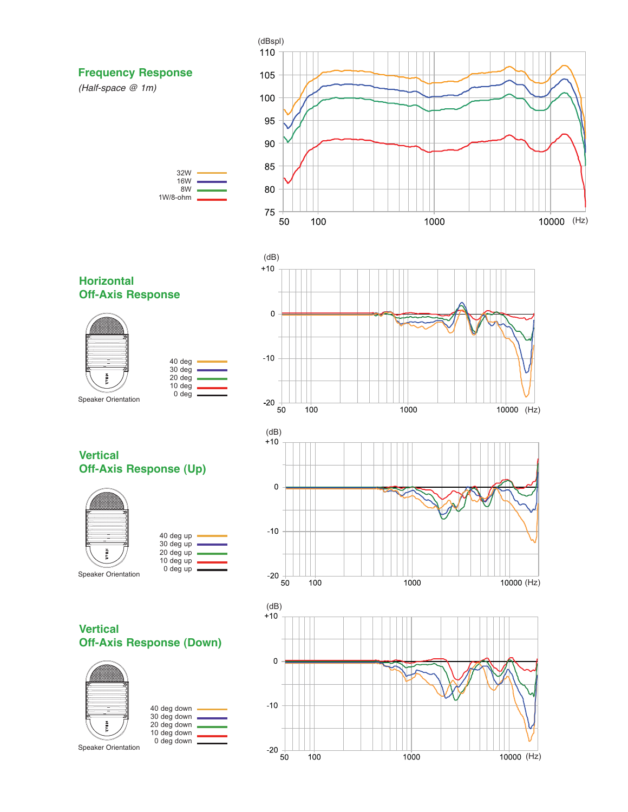

**Horizontal Off-Axis Response**



| 40 deg<br>30 deg<br>20 deg<br>10 deg<br>0 <sub>deq</sub> |  |
|----------------------------------------------------------|--|
|                                                          |  |



1000

10000 (Hz)

**Vertical Off-Axis Response (Up)**



| 40 deg up |  |
|-----------|--|
| 30 deg up |  |
| 20 deg up |  |
| 10 deg up |  |
| 0 deg up  |  |
|           |  |

**Vertical Off-Axis Response (Down)**



|  | 40 deg down<br>30 deg down<br>20 deg down<br>10 deg down |  |
|--|----------------------------------------------------------|--|
|  | 0 deg down                                               |  |
|  |                                                          |  |



 $\equiv$ 

 $-10$ 

 $-20$   $+$ 

 $100$